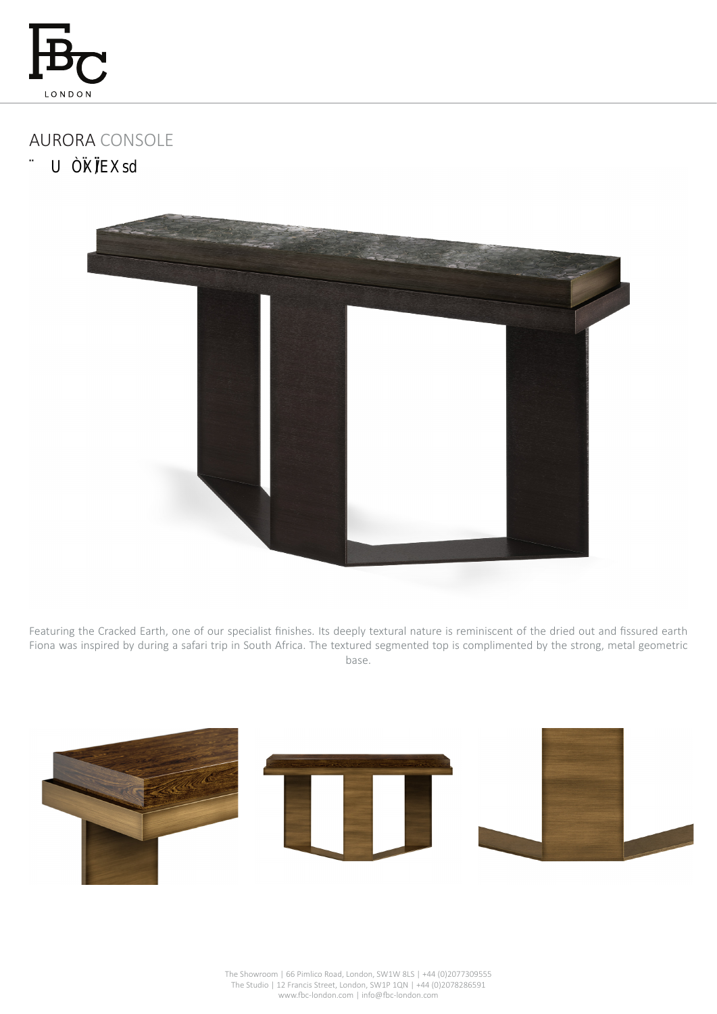

## AURORA CONSOLE

11 55 @ # "t" u



Featuring the Cracked Earth, one of our specialist finishes. Its deeply textural nature is reminiscent of the dried out and fissured earth Fiona was inspired by during a safari trip in South Africa. The textured segmented top is complimented by the strong, metal geometric base.